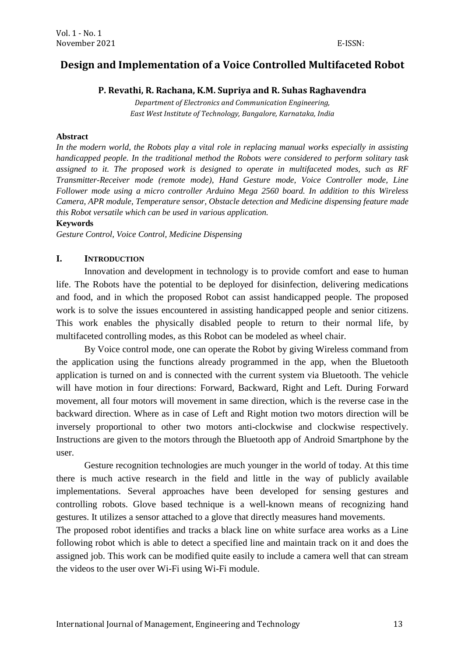# **Design and Implementation of a Voice Controlled Multifaceted Robot**

## **P. Revathi, R. Rachana, K.M. Supriya and R. Suhas Raghavendra**

*Department of Electronics and Communication Engineering, East West Institute of Technology, Bangalore, Karnataka, India*

#### **Abstract**

*In the modern world, the Robots play a vital role in replacing manual works especially in assisting handicapped people. In the traditional method the Robots were considered to perform solitary task assigned to it. The proposed work is designed to operate in multifaceted modes, such as RF Transmitter-Receiver mode (remote mode), Hand Gesture mode, Voice Controller mode, Line Follower mode using a micro controller Arduino Mega 2560 board. In addition to this Wireless Camera, APR module, Temperature sensor, Obstacle detection and Medicine dispensing feature made this Robot versatile which can be used in various application.*

#### **Keywords**

*Gesture Control, Voice Control, Medicine Dispensing*

#### **I. INTRODUCTION**

Innovation and development in technology is to provide comfort and ease to human life. The Robots have the potential to be deployed for disinfection, delivering medications and food, and in which the proposed Robot can assist handicapped people. The proposed work is to solve the issues encountered in assisting handicapped people and senior citizens. This work enables the physically disabled people to return to their normal life, by multifaceted controlling modes, as this Robot can be modeled as wheel chair.

By Voice control mode, one can operate the Robot by giving Wireless command from the application using the functions already programmed in the app, when the Bluetooth application is turned on and is connected with the current system via Bluetooth. The vehicle will have motion in four directions: Forward, Backward, Right and Left. During Forward movement, all four motors will movement in same direction, which is the reverse case in the backward direction. Where as in case of Left and Right motion two motors direction will be inversely proportional to other two motors anti-clockwise and clockwise respectively. Instructions are given to the motors through the Bluetooth app of Android Smartphone by the user.

Gesture recognition technologies are much younger in the world of today. At this time there is much active research in the field and little in the way of publicly available implementations. Several approaches have been developed for sensing gestures and controlling robots. Glove based technique is a well-known means of recognizing hand gestures. It utilizes a sensor attached to a glove that directly measures hand movements.

The proposed robot identifies and tracks a black line on white surface area works as a Line following robot which is able to detect a specified line and maintain track on it and does the assigned job. This work can be modified quite easily to include a camera well that can stream the videos to the user over Wi-Fi using Wi-Fi module.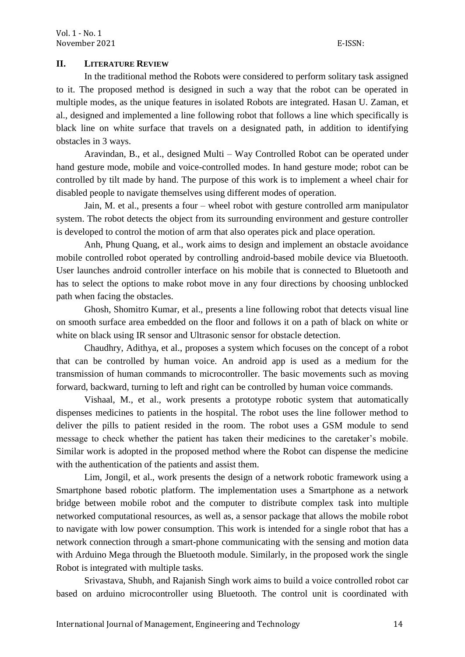## **II. LITERATURE REVIEW**

In the traditional method the Robots were considered to perform solitary task assigned to it. The proposed method is designed in such a way that the robot can be operated in multiple modes, as the unique features in isolated Robots are integrated. Hasan U. Zaman, et al., designed and implemented a line following robot that follows a line which specifically is black line on white surface that travels on a designated path, in addition to identifying obstacles in 3 ways.

Aravindan, B., et al., designed Multi – Way Controlled Robot can be operated under hand gesture mode, mobile and voice-controlled modes. In hand gesture mode; robot can be controlled by tilt made by hand. The purpose of this work is to implement a wheel chair for disabled people to navigate themselves using different modes of operation.

Jain, M. et al., presents a four – wheel robot with gesture controlled arm manipulator system. The robot detects the object from its surrounding environment and gesture controller is developed to control the motion of arm that also operates pick and place operation.

Anh, Phung Quang, et al., work aims to design and implement an obstacle avoidance mobile controlled robot operated by controlling android-based mobile device via Bluetooth. User launches android controller interface on his mobile that is connected to Bluetooth and has to select the options to make robot move in any four directions by choosing unblocked path when facing the obstacles.

Ghosh, Shomitro Kumar, et al., presents a line following robot that detects visual line on smooth surface area embedded on the floor and follows it on a path of black on white or white on black using IR sensor and Ultrasonic sensor for obstacle detection.

Chaudhry, Adithya, et al., proposes a system which focuses on the concept of a robot that can be controlled by human voice. An android app is used as a medium for the transmission of human commands to microcontroller. The basic movements such as moving forward, backward, turning to left and right can be controlled by human voice commands.

Vishaal, M., et al., work presents a prototype robotic system that automatically dispenses medicines to patients in the hospital. The robot uses the line follower method to deliver the pills to patient resided in the room. The robot uses a GSM module to send message to check whether the patient has taken their medicines to the caretaker"s mobile. Similar work is adopted in the proposed method where the Robot can dispense the medicine with the authentication of the patients and assist them.

Lim, Jongil, et al., work presents the design of a network robotic framework using a Smartphone based robotic platform. The implementation uses a Smartphone as a network bridge between mobile robot and the computer to distribute complex task into multiple networked computational resources, as well as, a sensor package that allows the mobile robot to navigate with low power consumption. This work is intended for a single robot that has a network connection through a smart-phone communicating with the sensing and motion data with Arduino Mega through the Bluetooth module. Similarly, in the proposed work the single Robot is integrated with multiple tasks.

Srivastava, Shubh, and Rajanish Singh work aims to build a voice controlled robot car based on arduino microcontroller using Bluetooth. The control unit is coordinated with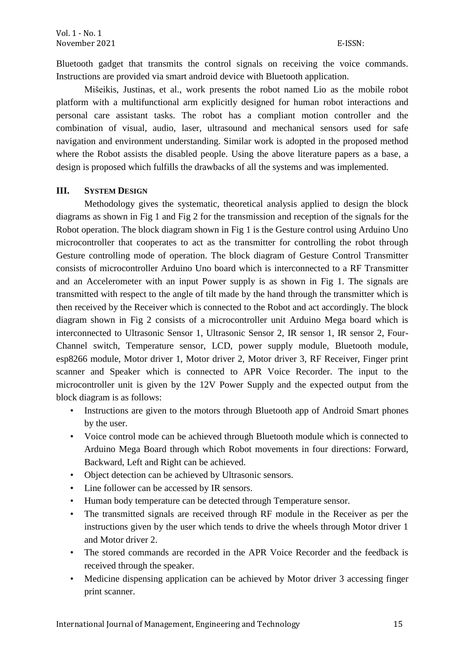Bluetooth gadget that transmits the control signals on receiving the voice commands. Instructions are provided via smart android device with Bluetooth application.

Mišeikis, Justinas, et al., work presents the robot named Lio as the mobile robot platform with a multifunctional arm explicitly designed for human robot interactions and personal care assistant tasks. The robot has a compliant motion controller and the combination of visual, audio, laser, ultrasound and mechanical sensors used for safe navigation and environment understanding. Similar work is adopted in the proposed method where the Robot assists the disabled people. Using the above literature papers as a base, a design is proposed which fulfills the drawbacks of all the systems and was implemented.

# **III. SYSTEM DESIGN**

Methodology gives the systematic, theoretical analysis applied to design the block diagrams as shown in Fig 1 and Fig 2 for the transmission and reception of the signals for the Robot operation. The block diagram shown in Fig 1 is the Gesture control using Arduino Uno microcontroller that cooperates to act as the transmitter for controlling the robot through Gesture controlling mode of operation. The block diagram of Gesture Control Transmitter consists of microcontroller Arduino Uno board which is interconnected to a RF Transmitter and an Accelerometer with an input Power supply is as shown in Fig 1. The signals are transmitted with respect to the angle of tilt made by the hand through the transmitter which is then received by the Receiver which is connected to the Robot and act accordingly. The block diagram shown in Fig 2 consists of a microcontroller unit Arduino Mega board which is interconnected to Ultrasonic Sensor 1, Ultrasonic Sensor 2, IR sensor 1, IR sensor 2, Four-Channel switch, Temperature sensor, LCD, power supply module, Bluetooth module, esp8266 module, Motor driver 1, Motor driver 2, Motor driver 3, RF Receiver, Finger print scanner and Speaker which is connected to APR Voice Recorder. The input to the microcontroller unit is given by the 12V Power Supply and the expected output from the block diagram is as follows:

- Instructions are given to the motors through Bluetooth app of Android Smart phones by the user.
- Voice control mode can be achieved through Bluetooth module which is connected to Arduino Mega Board through which Robot movements in four directions: Forward, Backward, Left and Right can be achieved.
- Object detection can be achieved by Ultrasonic sensors.
- Line follower can be accessed by IR sensors.
- Human body temperature can be detected through Temperature sensor.
- The transmitted signals are received through RF module in the Receiver as per the instructions given by the user which tends to drive the wheels through Motor driver 1 and Motor driver 2.
- The stored commands are recorded in the APR Voice Recorder and the feedback is received through the speaker.
- Medicine dispensing application can be achieved by Motor driver 3 accessing finger print scanner.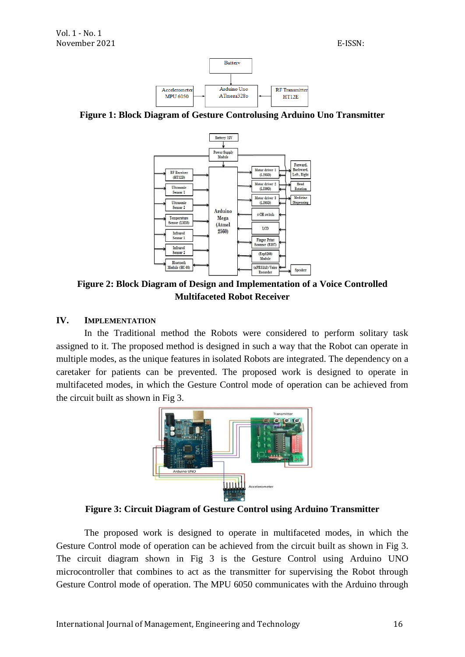

**Figure 1: Block Diagram of Gesture Controlusing Arduino Uno Transmitter**



**Figure 2: Block Diagram of Design and Implementation of a Voice Controlled Multifaceted Robot Receiver**

## **IV. IMPLEMENTATION**

In the Traditional method the Robots were considered to perform solitary task assigned to it. The proposed method is designed in such a way that the Robot can operate in multiple modes, as the unique features in isolated Robots are integrated. The dependency on a caretaker for patients can be prevented. The proposed work is designed to operate in multifaceted modes, in which the Gesture Control mode of operation can be achieved from the circuit built as shown in Fig 3.



**Figure 3: Circuit Diagram of Gesture Control using Arduino Transmitter**

The proposed work is designed to operate in multifaceted modes, in which the Gesture Control mode of operation can be achieved from the circuit built as shown in Fig 3. The circuit diagram shown in Fig 3 is the Gesture Control using Arduino UNO microcontroller that combines to act as the transmitter for supervising the Robot through Gesture Control mode of operation. The MPU 6050 communicates with the Arduino through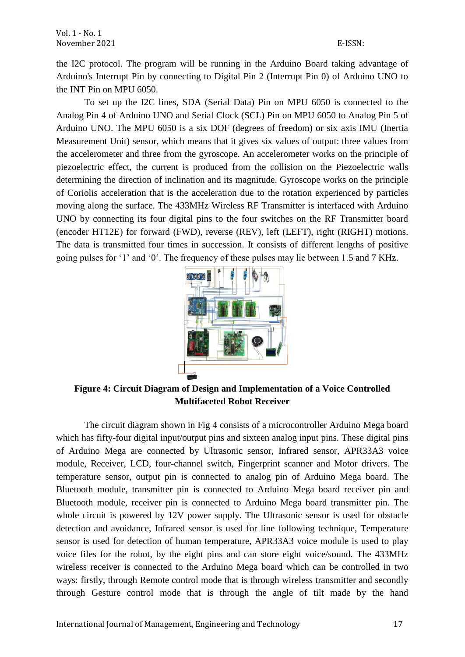the I2C protocol. The program will be running in the Arduino Board taking advantage of Arduino's Interrupt Pin by connecting to Digital Pin 2 (Interrupt Pin 0) of Arduino UNO to the INT Pin on MPU 6050.

To set up the I2C lines, SDA (Serial Data) Pin on MPU 6050 is connected to the Analog Pin 4 of Arduino UNO and Serial Clock (SCL) Pin on MPU 6050 to Analog Pin 5 of Arduino UNO. The MPU 6050 is a six DOF (degrees of freedom) or six axis IMU (Inertia Measurement Unit) sensor, which means that it gives six values of output: three values from the accelerometer and three from the gyroscope. An accelerometer works on the principle of piezoelectric effect, the current is produced from the collision on the Piezoelectric walls determining the direction of inclination and its magnitude. Gyroscope works on the principle of Coriolis acceleration that is the acceleration due to the rotation experienced by particles moving along the surface. The 433MHz Wireless RF Transmitter is interfaced with Arduino UNO by connecting its four digital pins to the four switches on the RF Transmitter board (encoder HT12E) for forward (FWD), reverse (REV), left (LEFT), right (RIGHT) motions. The data is transmitted four times in succession. It consists of different lengths of positive going pulses for "1" and "0". The frequency of these pulses may lie between 1.5 and 7 KHz.



**Figure 4: Circuit Diagram of Design and Implementation of a Voice Controlled Multifaceted Robot Receiver**

The circuit diagram shown in Fig 4 consists of a microcontroller Arduino Mega board which has fifty-four digital input/output pins and sixteen analog input pins. These digital pins of Arduino Mega are connected by Ultrasonic sensor, Infrared sensor, APR33A3 voice module, Receiver, LCD, four-channel switch, Fingerprint scanner and Motor drivers. The temperature sensor, output pin is connected to analog pin of Arduino Mega board. The Bluetooth module, transmitter pin is connected to Arduino Mega board receiver pin and Bluetooth module, receiver pin is connected to Arduino Mega board transmitter pin. The whole circuit is powered by 12V power supply. The Ultrasonic sensor is used for obstacle detection and avoidance, Infrared sensor is used for line following technique, Temperature sensor is used for detection of human temperature, APR33A3 voice module is used to play voice files for the robot, by the eight pins and can store eight voice/sound. The 433MHz wireless receiver is connected to the Arduino Mega board which can be controlled in two ways: firstly, through Remote control mode that is through wireless transmitter and secondly through Gesture control mode that is through the angle of tilt made by the hand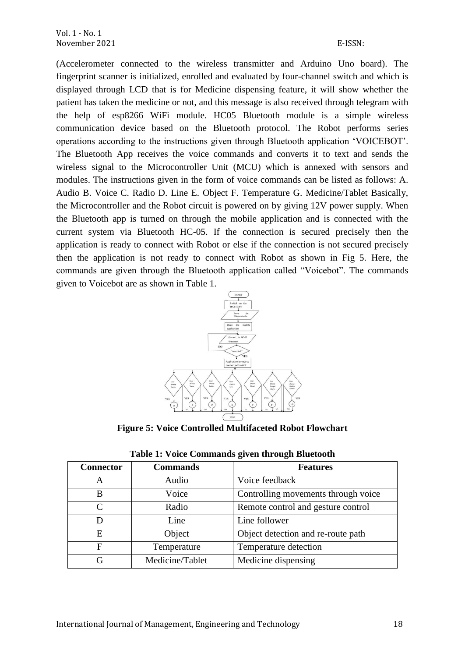(Accelerometer connected to the wireless transmitter and Arduino Uno board). The fingerprint scanner is initialized, enrolled and evaluated by four-channel switch and which is displayed through LCD that is for Medicine dispensing feature, it will show whether the patient has taken the medicine or not, and this message is also received through telegram with the help of esp8266 WiFi module. HC05 Bluetooth module is a simple wireless communication device based on the Bluetooth protocol. The Robot performs series operations according to the instructions given through Bluetooth application "VOICEBOT". The Bluetooth App receives the voice commands and converts it to text and sends the wireless signal to the Microcontroller Unit (MCU) which is annexed with sensors and modules. The instructions given in the form of voice commands can be listed as follows: A. Audio B. Voice C. Radio D. Line E. Object F. Temperature G. Medicine/Tablet Basically, the Microcontroller and the Robot circuit is powered on by giving 12V power supply. When the Bluetooth app is turned on through the mobile application and is connected with the current system via Bluetooth HC-05. If the connection is secured precisely then the application is ready to connect with Robot or else if the connection is not secured precisely then the application is not ready to connect with Robot as shown in Fig 5. Here, the commands are given through the Bluetooth application called "Voicebot". The commands given to Voicebot are as shown in Table 1.



**Figure 5: Voice Controlled Multifaceted Robot Flowchart**

| <b>Connector</b>            | <b>Commands</b> | <b>Features</b>                     |
|-----------------------------|-----------------|-------------------------------------|
| A                           | Audio           | Voice feedback                      |
| B                           | Voice           | Controlling movements through voice |
| $\mathcal{C}_{\mathcal{C}}$ | Radio           | Remote control and gesture control  |
|                             | Line            | Line follower                       |
| E                           | Object          | Object detection and re-route path  |
| F                           | Temperature     | Temperature detection               |
| G                           | Medicine/Tablet | Medicine dispensing                 |

| Table 1: Voice Commands given through Bluetooth |  |  |  |
|-------------------------------------------------|--|--|--|
|-------------------------------------------------|--|--|--|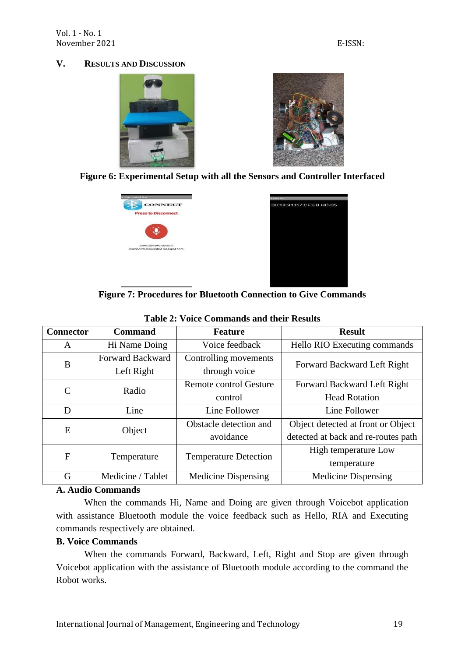## **V. RESULTS AND DISCUSSION**









**Figure 7: Procedures for Bluetooth Connection to Give Commands**

| <b>Connector</b> | <b>Command</b>    | <b>Feature</b>                                       | <b>Result</b>                       |
|------------------|-------------------|------------------------------------------------------|-------------------------------------|
| A                | Hi Name Doing     | Voice feedback                                       | Hello RIO Executing commands        |
| B                | Forward Backward  | Controlling movements<br>Forward Backward Left Right |                                     |
|                  | Left Right        | through voice                                        |                                     |
| $\mathsf{C}$     | Radio             | Remote control Gesture                               | Forward Backward Left Right         |
|                  |                   | control                                              | <b>Head Rotation</b>                |
| D                | Line              | Line Follower                                        | Line Follower                       |
| E                | Object            | Obstacle detection and                               | Object detected at front or Object  |
|                  |                   | avoidance                                            | detected at back and re-routes path |
| $\overline{F}$   | Temperature       | <b>Temperature Detection</b>                         | High temperature Low                |
|                  |                   |                                                      | temperature                         |
| G                | Medicine / Tablet | <b>Medicine Dispensing</b>                           | <b>Medicine Dispensing</b>          |

# **Table 2: Voice Commands and their Results**

#### **A. Audio Commands**

When the commands Hi, Name and Doing are given through Voicebot application with assistance Bluetooth module the voice feedback such as Hello, RIA and Executing commands respectively are obtained.

## **B. Voice Commands**

When the commands Forward, Backward, Left, Right and Stop are given through Voicebot application with the assistance of Bluetooth module according to the command the Robot works.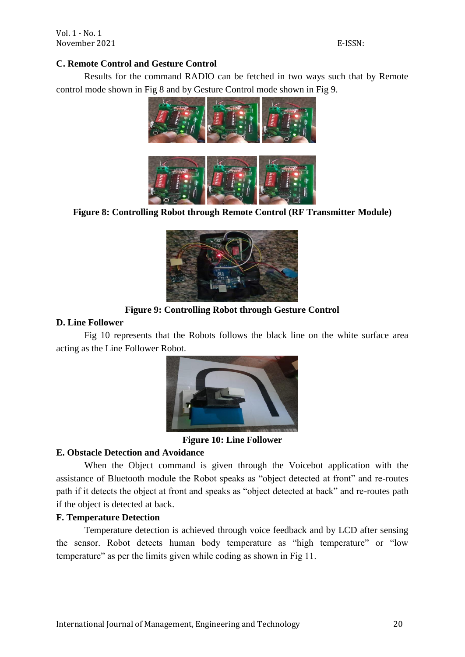Vol. 1 - No. 1 November 2021 E-ISSN:

#### **C. Remote Control and Gesture Control**

Results for the command RADIO can be fetched in two ways such that by Remote control mode shown in Fig 8 and by Gesture Control mode shown in Fig 9.



**Figure 8: Controlling Robot through Remote Control (RF Transmitter Module)**



## **Figure 9: Controlling Robot through Gesture Control**

#### **D. Line Follower**

Fig 10 represents that the Robots follows the black line on the white surface area acting as the Line Follower Robot.



**Figure 10: Line Follower**

## **E. Obstacle Detection and Avoidance**

When the Object command is given through the Voicebot application with the assistance of Bluetooth module the Robot speaks as "object detected at front" and re-routes path if it detects the object at front and speaks as "object detected at back" and re-routes path if the object is detected at back.

# **F. Temperature Detection**

Temperature detection is achieved through voice feedback and by LCD after sensing the sensor. Robot detects human body temperature as "high temperature" or "low temperature" as per the limits given while coding as shown in Fig 11.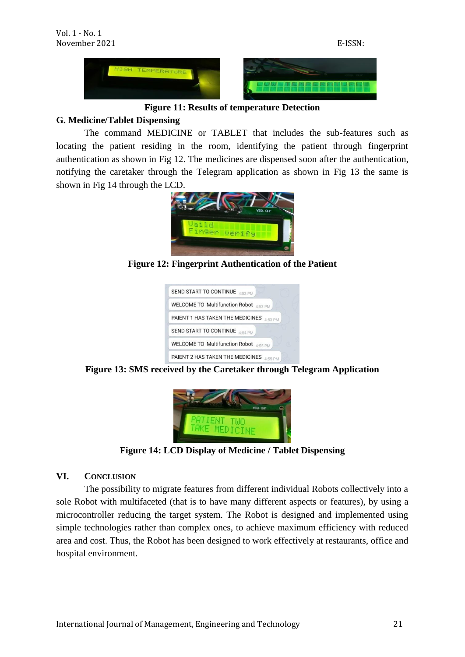**Figure 11: Results of temperature Detection**

# **G. Medicine/Tablet Dispensing**

The command MEDICINE or TABLET that includes the sub-features such as locating the patient residing in the room, identifying the patient through fingerprint authentication as shown in Fig 12. The medicines are dispensed soon after the authentication, notifying the caretaker through the Telegram application as shown in Fig 13 the same is shown in Fig 14 through the LCD.



**Figure 12: Fingerprint Authentication of the Patient**







**Figure 14: LCD Display of Medicine / Tablet Dispensing**

## **VI. CONCLUSION**

The possibility to migrate features from different individual Robots collectively into a sole Robot with multifaceted (that is to have many different aspects or features), by using a microcontroller reducing the target system. The Robot is designed and implemented using simple technologies rather than complex ones, to achieve maximum efficiency with reduced area and cost. Thus, the Robot has been designed to work effectively at restaurants, office and hospital environment.